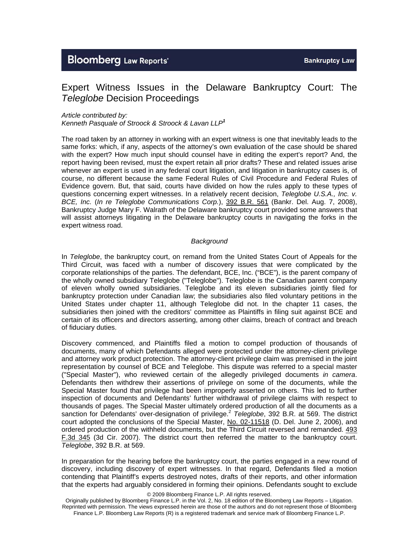# **Bloomberg Law Reports'**

# Expert Witness Issues in the Delaware Bankruptcy Court: The *Teleglobe* Decision Proceedings

### *Article contributed by:*

*Kenneth Pasquale of Stroock & Stroock & Lavan LLP<sup>1</sup>*

The road taken by an attorney in working with an expert witness is one that inevitably leads to the same forks: which, if any, aspects of the attorney's own evaluation of the case should be shared with the expert? How much input should counsel have in editing the expert's report? And, the report having been revised, must the expert retain all prior drafts? These and related issues arise whenever an expert is used in any federal court litigation, and litigation in bankruptcy cases is, of course, no different because the same Federal Rules of Civil Procedure and Federal Rules of Evidence govern. But, that said, courts have divided on how the rules apply to these types of questions concerning expert witnesses. In a relatively recent decision, *Teleglobe U.S.A., Inc. v. BCE, Inc.* (*In re Teleglobe Communications Corp.*), 392 B.R. 561 (Bankr. Del. Aug. 7, 2008), Bankruptcy Judge Mary F. Walrath of the Delaware bankruptcy court provided some answers that will assist attorneys litigating in the Delaware bankruptcy courts in navigating the forks in the expert witness road.

# *Background*

In *Teleglobe*, the bankruptcy court, on remand from the United States Court of Appeals for the Third Circuit, was faced with a number of discovery issues that were complicated by the corporate relationships of the parties. The defendant, BCE, Inc. ("BCE"), is the parent company of the wholly owned subsidiary Teleglobe ("Teleglobe"). Teleglobe is the Canadian parent company of eleven wholly owned subsidiaries. Teleglobe and its eleven subsidiaries jointly filed for bankruptcy protection under Canadian law; the subsidiaries also filed voluntary petitions in the United States under chapter 11, although Teleglobe did not. In the chapter 11 cases, the subsidiaries then joined with the creditors' committee as Plaintiffs in filing suit against BCE and certain of its officers and directors asserting, among other claims, breach of contract and breach of fiduciary duties.

Discovery commenced, and Plaintiffs filed a motion to compel production of thousands of documents, many of which Defendants alleged were protected under the attorney-client privilege and attorney work product protection. The attorney-client privilege claim was premised in the joint representation by counsel of BCE and Teleglobe. This dispute was referred to a special master ("Special Master"), who reviewed certain of the allegedly privileged documents *in camera*. Defendants then withdrew their assertions of privilege on some of the documents, while the Special Master found that privilege had been improperly asserted on others. This led to further inspection of documents and Defendants' further withdrawal of privilege claims with respect to thousands of pages. The Special Master ultimately ordered production of all the documents as a sanction for Defendants' over-designation of privilege.<sup>2</sup> Teleglobe, 392 B.R. at 569. The district court adopted the conclusions of the Special Master, No. 02-11518 (D. Del. June 2, 2006), and ordered production of the withheld documents, but the Third Circuit reversed and remanded. 493 F.3d 345 (3d Cir. 2007). The district court then referred the matter to the bankruptcy court. *Teleglobe*, 392 B.R. at 569.

In preparation for the hearing before the bankruptcy court, the parties engaged in a new round of discovery, including discovery of expert witnesses. In that regard, Defendants filed a motion contending that Plaintiff's experts destroyed notes, drafts of their reports, and other information that the experts had arguably considered in forming their opinions. Defendants sought to exclude

Originally published by Bloomberg Finance L.P. in the Vol. 2, No. 18 edition of the Bloomberg Law Reports – Litigation. Reprinted with permission. The views expressed herein are those of the authors and do not represent those of Bloomberg Finance L.P. Bloomberg Law Reports (R) is a registered trademark and service mark of Bloomberg Finance L.P.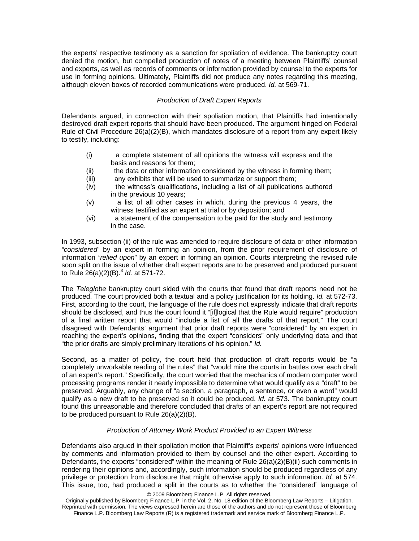the experts' respective testimony as a sanction for spoliation of evidence. The bankruptcy court denied the motion, but compelled production of notes of a meeting between Plaintiffs' counsel and experts, as well as records of comments or information provided by counsel to the experts for use in forming opinions. Ultimately, Plaintiffs did not produce any notes regarding this meeting, although eleven boxes of recorded communications were produced. *Id.* at 569-71.

# *Production of Draft Expert Reports*

Defendants argued, in connection with their spoliation motion, that Plaintiffs had intentionally destroyed draft expert reports that should have been produced. The argument hinged on Federal Rule of Civil Procedure  $26(a)(2)(B)$ , which mandates disclosure of a report from any expert likely to testify, including:

- (i) a complete statement of all opinions the witness will express and the basis and reasons for them;
- (ii) the data or other information considered by the witness in forming them;
- (iii) any exhibits that will be used to summarize or support them;
- (iv) the witness's qualifications, including a list of all publications authored in the previous 10 years;
- (v) a list of all other cases in which, during the previous 4 years, the witness testified as an expert at trial or by deposition; and
- (vi) a statement of the compensation to be paid for the study and testimony in the case.

In 1993, subsection (ii) of the rule was amended to require disclosure of data or other information *"considered*" by an expert in forming an opinion, from the prior requirement of disclosure of information *"relied upon*" by an expert in forming an opinion. Courts interpreting the revised rule soon split on the issue of whether draft expert reports are to be preserved and produced pursuant to Rule 26(a)(2)(B).<sup>3</sup> *Id.* at 571-72.

The *Teleglobe* bankruptcy court sided with the courts that found that draft reports need not be produced. The court provided both a textual and a policy justification for its holding. *Id.* at 572-73. First, according to the court, the language of the rule does not expressly indicate that draft reports should be disclosed, and thus the court found it "[il]logical that the Rule would require" production of a final written report that would "include a list of all the drafts of that report." The court disagreed with Defendants' argument that prior draft reports were "considered" by an expert in reaching the expert's opinions, finding that the expert "considers" only underlying data and that "the prior drafts are simply preliminary iterations of his opinion." *Id.*

Second, as a matter of policy, the court held that production of draft reports would be "a completely unworkable reading of the rules" that "would mire the courts in battles over each draft of an expert's report." Specifically, the court worried that the mechanics of modern computer word processing programs render it nearly impossible to determine what would qualify as a "draft" to be preserved. Arguably, any change of "a section, a paragraph, a sentence, or even a word" would qualify as a new draft to be preserved so it could be produced. *Id.* at 573. The bankruptcy court found this unreasonable and therefore concluded that drafts of an expert's report are not required to be produced pursuant to Rule 26(a)(2)(B).

# *Production of Attorney Work Product Provided to an Expert Witness*

Defendants also argued in their spoliation motion that Plaintiff's experts' opinions were influenced by comments and information provided to them by counsel and the other expert. According to Defendants, the experts "considered" within the meaning of Rule 26(a)(2)(B)(ii) such comments in rendering their opinions and, accordingly, such information should be produced regardless of any privilege or protection from disclosure that might otherwise apply to such information. *Id.* at 574. This issue, too, had produced a split in the courts as to whether the "considered" language of

Originally published by Bloomberg Finance L.P. in the Vol. 2, No. 18 edition of the Bloomberg Law Reports – Litigation. Reprinted with permission. The views expressed herein are those of the authors and do not represent those of Bloomberg Finance L.P. Bloomberg Law Reports (R) is a registered trademark and service mark of Bloomberg Finance L.P.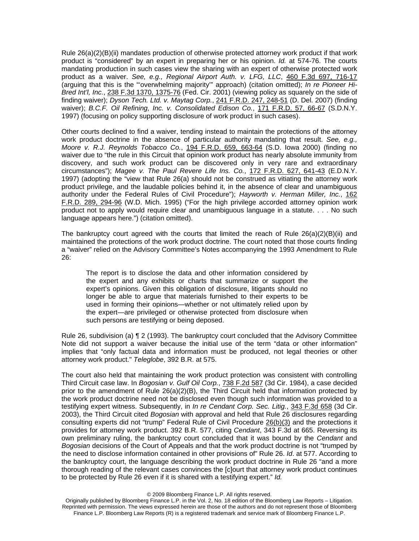Rule 26(a)(2)(B)(ii) mandates production of otherwise protected attorney work product if that work product is "considered" by an expert in preparing her or his opinion. *Id.* at 574-76. The courts mandating production in such cases view the sharing with an expert of otherwise protected work product as a waiver. *See, e.g., Regional Airport Auth. v. LFG, LLC*, 460 F.3d 697, 716-17 (arguing that this is the "'overwhelming majority'" approach) (citation omitted); *In re Pioneer Hi-Bred Int'l, Inc.*, 238 F.3d 1370, 1375-76 (Fed. Cir. 2001) (viewing policy as squarely on the side of finding waiver); *Dyson Tech. Ltd. v. Maytag Corp.*, 241 F.R.D. 247, 248-51 (D. Del. 2007) (finding waiver); *B.C.F. Oil Refining, Inc. v. Consolidated Edison Co.*, 171 F.R.D. 57, 66-67 (S.D.N.Y. 1997) (focusing on policy supporting disclosure of work product in such cases).

Other courts declined to find a waiver, tending instead to maintain the protections of the attorney work product doctrine in the absence of particular authority mandating that result. *See, e.g., Moore v. R.J. Reynolds Tobacco Co.*, 194 F.R.D. 659, 663-64 (S.D. Iowa 2000) (finding no waiver due to "the rule in this Circuit that opinion work product has nearly absolute immunity from discovery, and such work product can be discovered only in very rare and extraordinary circumstances"); *Magee v. The Paul Revere Life Ins. Co.*, 172 F.R.D. 627, 641-43 (E.D.N.Y. 1997) (adopting the "view that Rule 26(a) should not be construed as vitiating the attorney work product privilege, and the laudable policies behind it, in the absence of clear and unambiguous authority under the Federal Rules of Civil Procedure"); *Hayworth v. Herman Miller, Inc.*, 162 F.R.D. 289, 294-96 (W.D. Mich. 1995) ("For the high privilege accorded attorney opinion work product not to apply would require clear and unambiguous language in a statute. . . . No such language appears here.") (citation omitted).

The bankruptcy court agreed with the courts that limited the reach of Rule  $26(a)(2)(B)(ii)$  and maintained the protections of the work product doctrine. The court noted that those courts finding a "waiver" relied on the Advisory Committee's Notes accompanying the 1993 Amendment to Rule 26:

The report is to disclose the data and other information considered by the expert and any exhibits or charts that summarize or support the expert's opinions. Given this obligation of disclosure, litigants should no longer be able to argue that materials furnished to their experts to be used in forming their opinions—whether or not ultimately relied upon by the expert—are privileged or otherwise protected from disclosure when such persons are testifying or being deposed.

Rule 26, subdivision (a) ¶ 2 (1993). The bankruptcy court concluded that the Advisory Committee Note did not support a waiver because the initial use of the term "data or other information" implies that "only factual data and information must be produced, not legal theories or other attorney work product." *Teleglobe*, 392 B.R. at 575.

The court also held that maintaining the work product protection was consistent with controlling Third Circuit case law. In *Bogosian v. Gulf Oil Corp.*, 738 F.2d 587 (3d Cir. 1984), a case decided prior to the amendment of Rule 26(a)(2)(B), the Third Circuit held that information protected by the work product doctrine need not be disclosed even though such information was provided to a testifying expert witness. Subsequently, in *In re Cendant Corp. Sec. Litig.*, 343 F.3d 658 (3d Cir. 2003), the Third Circuit cited *Bogosian* with approval and held that Rule 26 disclosures regarding consulting experts did not "trump" Federal Rule of Civil Procedure 26(b)(3) and the protections it provides for attorney work product. 392 B.R. 577, citing *Cendant*, 343 F.3d at 665. Reversing its own preliminary ruling, the bankruptcy court concluded that it was bound by the *Cendant* and *Bogosian* decisions of the Court of Appeals and that the work product doctrine is not "trumped by the need to disclose information contained in other provisions of" Rule 26. *Id*. at 577. According to the bankruptcy court, the language describing the work product doctrine in Rule 26 "and a more thorough reading of the relevant cases convinces the [c]ourt that attorney work product continues to be protected by Rule 26 even if it is shared with a testifying expert." *Id.*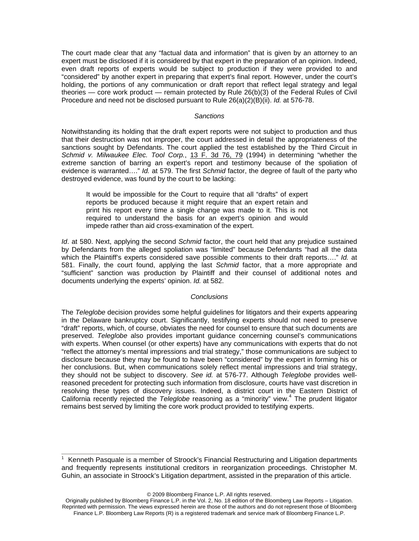The court made clear that any "factual data and information" that is given by an attorney to an expert must be disclosed if it is considered by that expert in the preparation of an opinion. Indeed, even draft reports of experts would be subject to production if they were provided to and "considered" by another expert in preparing that expert's final report. However, under the court's holding, the portions of any communication or draft report that reflect legal strategy and legal theories — core work product — remain protected by Rule 26(b)(3) of the Federal Rules of Civil Procedure and need not be disclosed pursuant to Rule 26(a)(2)(B)(ii). *Id.* at 576-78.

#### *Sanctions*

Notwithstanding its holding that the draft expert reports were not subject to production and thus that their destruction was not improper, the court addressed in detail the appropriateness of the sanctions sought by Defendants. The court applied the test established by the Third Circuit in *Schmid v. Milwaukee Elec. Tool Corp.*, 13 F. 3d 76, 79 (1994) in determining "whether the extreme sanction of barring an expert's report and testimony because of the spoliation of evidence is warranted…." *Id.* at 579. The first *Schmid* factor, the degree of fault of the party who destroyed evidence, was found by the court to be lacking:

It would be impossible for the Court to require that all "drafts" of expert reports be produced because it might require that an expert retain and print his report every time a single change was made to it. This is not required to understand the basis for an expert's opinion and would impede rather than aid cross-examination of the expert.

*Id.* at 580. Next, applying the second *Schmid* factor, the court held that any prejudice sustained by Defendants from the alleged spoliation was "limited" because Defendants "had all the data which the Plaintiff's experts considered save possible comments to their draft reports…." *Id.* at 581. Finally, the court found, applying the last *Schmid* factor, that a more appropriate and "sufficient" sanction was production by Plaintiff and their counsel of additional notes and documents underlying the experts' opinion. *Id.* at 582.

# *Conclusions*

The *Teleglobe* decision provides some helpful guidelines for litigators and their experts appearing in the Delaware bankruptcy court. Significantly, testifying experts should not need to preserve "draft" reports, which, of course, obviates the need for counsel to ensure that such documents are preserved. *Teleglobe* also provides important guidance concerning counsel's communications with experts. When counsel (or other experts) have any communications with experts that do not "reflect the attorney's mental impressions and trial strategy," those communications are subject to disclosure because they may be found to have been "considered" by the expert in forming his or her conclusions. But, when communications solely reflect mental impressions and trial strategy, they should not be subject to discovery. *See id.* at 576-77. Although *Teleglobe* provides wellreasoned precedent for protecting such information from disclosure, courts have vast discretion in resolving these types of discovery issues. Indeed, a district court in the Eastern District of California recently rejected the *Teleglobe* reasoning as a "minority" view.4 The prudent litigator remains best served by limiting the core work product provided to testifying experts.

<sup>&</sup>lt;sup>1</sup> Kenneth Pasquale is a member of Stroock's Financial Restructuring and Litigation departments and frequently represents institutional creditors in reorganization proceedings. Christopher M. Guhin, an associate in Stroock's Litigation department, assisted in the preparation of this article.

Originally published by Bloomberg Finance L.P. in the Vol. 2, No. 18 edition of the Bloomberg Law Reports – Litigation. Reprinted with permission. The views expressed herein are those of the authors and do not represent those of Bloomberg Finance L.P. Bloomberg Law Reports (R) is a registered trademark and service mark of Bloomberg Finance L.P.